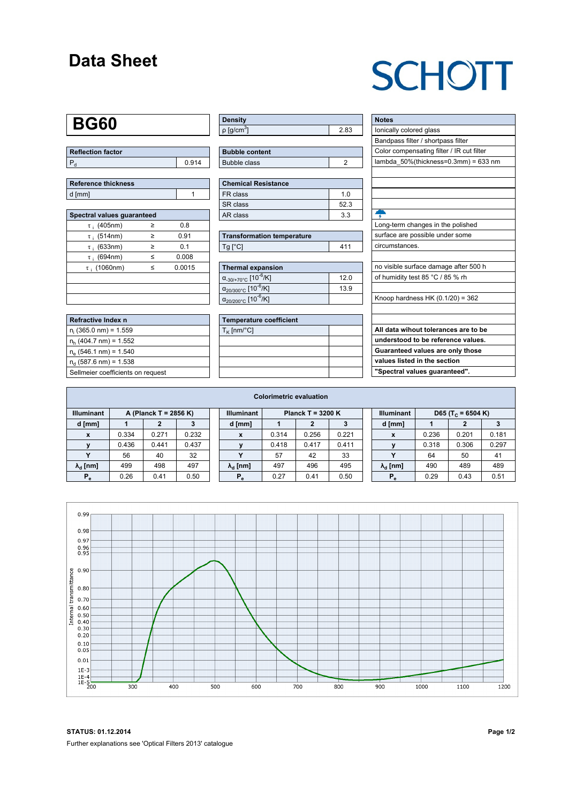### **Data Sheet**

## **SCHOTT**

## **BG60**

| Reflection factor |       |  |  |  |  |  |
|-------------------|-------|--|--|--|--|--|
|                   | 0.914 |  |  |  |  |  |

| <b>Reference thickness</b> |  |
|----------------------------|--|
| d [mm]                     |  |

| Spectral values quaranteed |   |        |  |  |  |  |  |  |  |
|----------------------------|---|--------|--|--|--|--|--|--|--|
| $\tau$ ; (405nm)           | ≥ | 0.8    |  |  |  |  |  |  |  |
| $\tau$ ; (514nm)           | ≥ | 0.91   |  |  |  |  |  |  |  |
| $\tau$ ; (633nm)           | ≥ | 0.1    |  |  |  |  |  |  |  |
| $\tau$ ; (694nm)           | < | 0.008  |  |  |  |  |  |  |  |
| $\tau$ (1060nm)            | ≤ | 0.0015 |  |  |  |  |  |  |  |
|                            |   |        |  |  |  |  |  |  |  |
|                            |   |        |  |  |  |  |  |  |  |
|                            |   |        |  |  |  |  |  |  |  |

| Refractive Index n                |
|-----------------------------------|
| $n_i$ (365.0 nm) = 1.559          |
| $n_h$ (404.7 nm) = 1.552          |
| $n_e$ (546.1 nm) = 1.540          |
| $n_a$ (587.6 nm) = 1.538          |
| Sellmeier coefficients on request |

| Density                 |      |
|-------------------------|------|
| │ρ [g/cm <sup>ა</sup> ] | 2.83 |

| <b>Bubble content</b> |  |
|-----------------------|--|
| Bubble class          |  |
|                       |  |

| Chemical Resistance |     |  |  |  |  |  |  |
|---------------------|-----|--|--|--|--|--|--|
| FR class            | 1 N |  |  |  |  |  |  |
| l SR class          | 523 |  |  |  |  |  |  |
| l AR class          | 33  |  |  |  |  |  |  |

| <b>Transformation temperature</b> |     |  |  |  |  |  |
|-----------------------------------|-----|--|--|--|--|--|
| $Tg$ [ $^{\circ}$ C]              | 411 |  |  |  |  |  |

| Thermal expansion                                 |      |
|---------------------------------------------------|------|
| $\alpha_{-30/+70\degree}$ c [10 <sup>-6</sup> /K] | 12.0 |
| $\alpha_{20/300^{\circ}C}$ [10 <sup>-6</sup> /K]  | 13.9 |
| $\alpha_{20/200^{\circ}C}$ [10 <sup>-6</sup> /K]  |      |

| <b>Temperature coefficient</b> |  |
|--------------------------------|--|
| $T_K$ [nm/°C]                  |  |
|                                |  |
|                                |  |
|                                |  |
|                                |  |

| <b>Notes</b>                              |
|-------------------------------------------|
| lonically colored glass                   |
| Bandpass filter / shortpass filter        |
| Color compensating filter / IR cut filter |
| lambda $50\%$ (thickness=0.3mm) = 633 nm  |
|                                           |
|                                           |
|                                           |
|                                           |
|                                           |
| Long-term changes in the polished         |
| surface are possible under some           |
| circumstances.                            |
|                                           |
| no visible surface damage after 500 h     |
| of humidity test 85 °C / 85 % rh          |
|                                           |
| Knoop hardness HK $(0.1/20) = 362$        |
|                                           |
|                                           |
| All data wihout tolerances are to be      |
| understood to be reference values.        |
| Guaranteed values are only those          |
| values listed in the section              |

**"Spectral values guaranteed".**

| <b>Colorimetric evaluation</b>             |       |       |       |                                          |                        |       |       |       |                                                    |                           |       |       |       |
|--------------------------------------------|-------|-------|-------|------------------------------------------|------------------------|-------|-------|-------|----------------------------------------------------|---------------------------|-------|-------|-------|
| <b>Illuminant</b><br>A (Planck T = 2856 K) |       |       |       | <b>Illuminant</b><br>Planck T = $3200 K$ |                        |       |       |       | <b>Illuminant</b><br>D65 (T <sub>c</sub> = 6504 K) |                           |       |       |       |
| d [mm]                                     |       |       |       |                                          | d [mm]                 |       |       |       |                                                    | d [mm]                    |       |       |       |
|                                            | 0.334 | 0.271 | 0.232 |                                          | X                      | 0.314 | 0.256 | 0.221 |                                                    | $\boldsymbol{\mathsf{x}}$ | 0.236 | 0.201 | 0.181 |
|                                            | 0.436 | 0.441 | 0.437 |                                          |                        | 0.418 | 0.417 | 0.411 |                                                    |                           | 0.318 | 0.306 | 0.297 |
|                                            | 56    | 40    | 32    |                                          |                        | 57    | 42    | 33    |                                                    | v                         | 64    | 50    | 41    |
| $\lambda_{\rm d}$ [nm]                     | 499   | 498   | 497   |                                          | $\lambda_{\rm d}$ [nm] | 497   | 496   | 495   |                                                    | $\lambda_{\rm d}$ [nm]    | 490   | 489   | 489   |
| $P_e$                                      | 0.26  | 0.41  | 0.50  |                                          | $P_e$                  | 0.27  | 0.41  | 0.50  |                                                    | $P_e$                     | 0.29  | 0.43  | 0.51  |
|                                            |       |       |       |                                          |                        |       |       |       |                                                    |                           |       |       |       |



**STATUS: 01.12.2014 Page 1/2** Further explanations see 'Optical Filters 2013' catalogue